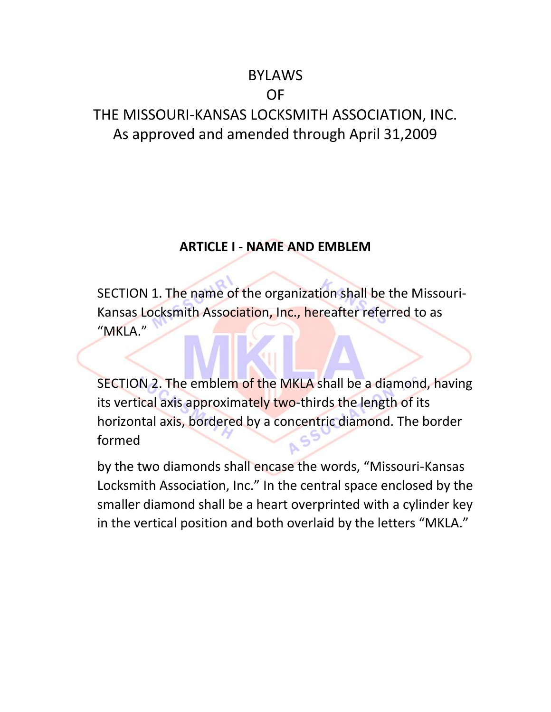# BYLAWS

# OF

# THE MISSOURI-KANSAS LOCKSMITH ASSOCIATION, INC. As approved and amended through April 31,2009

### **ARTICLE I - NAME AND EMBLEM**

SECTION 1. The name of the organization shall be the Missouri-Kansas Locksmith Association, Inc., hereafter referred to as "MKLA."

SECTION 2. The emblem of the MKLA shall be a diamond, having its vertical axis approximately two-thirds the length of its horizontal axis, bordered by a concentric diamond. The border formed

by the two diamonds shall encase the words, "Missouri-Kansas Locksmith Association, Inc." In the central space enclosed by the smaller diamond shall be a heart overprinted with a cylinder key in the vertical position and both overlaid by the letters "MKLA."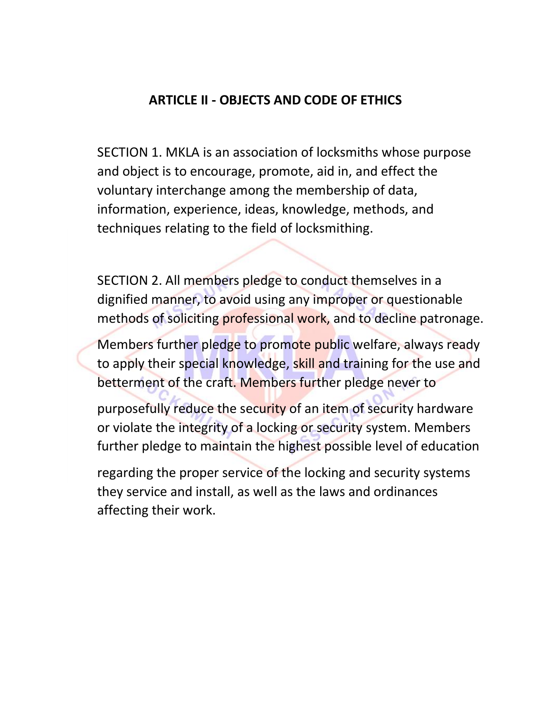# **ARTICLE II - OBJECTS AND CODE OF ETHICS**

SECTION 1. MKLA is an association of locksmiths whose purpose and object is to encourage, promote, aid in, and effect the voluntary interchange among the membership of data, information, experience, ideas, knowledge, methods, and techniques relating to the field of locksmithing.

SECTION 2. All members pledge to conduct themselves in a dignified manner, to avoid using any improper or questionable methods of soliciting professional work, and to decline patronage.

Members further pledge to promote public welfare, always ready to apply their special knowledge, skill and training for the use and betterment of the craft. Members further pledge never to

purposefully reduce the security of an item of security hardware or violate the integrity of a locking or security system. Members further pledge to maintain the highest possible level of education

regarding the proper service of the locking and security systems they service and install, as well as the laws and ordinances affecting their work.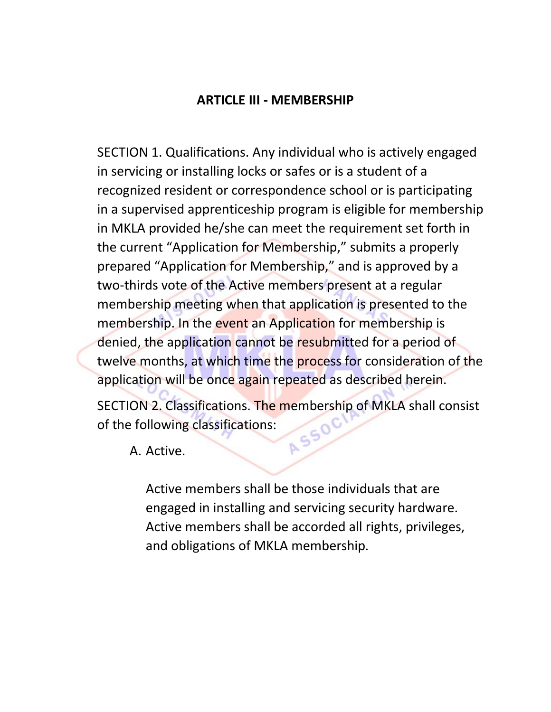### **ARTICLE III - MEMBERSHIP**

SECTION 1. Qualifications. Any individual who is actively engaged in servicing or installing locks or safes or is a student of a recognized resident or correspondence school or is participating in a supervised apprenticeship program is eligible for membership in MKLA provided he/she can meet the requirement set forth in the current "Application for Membership," submits a properly prepared "Application for Membership," and is approved by a two-thirds vote of the Active members present at a regular membership meeting when that application is presented to the membership. In the event an Application for membership is denied, the application cannot be resubmitted for a period of twelve months, at which time the process for consideration of the application will be once again repeated as described herein.

SECTION 2. Classifications. The membership of MKLA shall consist<br>of the following classifications:<br>A. Active of the following classifications:

A. Active.

Active members shall be those individuals that are engaged in installing and servicing security hardware. Active members shall be accorded all rights, privileges, and obligations of MKLA membership.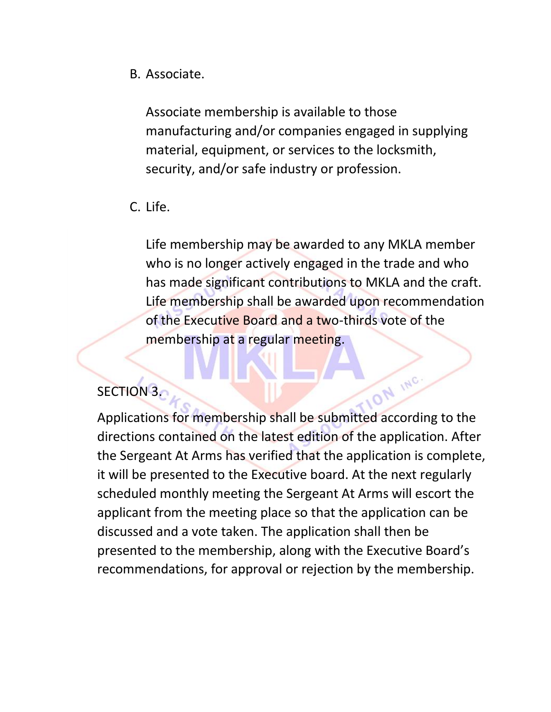B. Associate.

Associate membership is available to those manufacturing and/or companies engaged in supplying material, equipment, or services to the locksmith, security, and/or safe industry or profession.

C. Life.

Life membership may be awarded to any MKLA member who is no longer actively engaged in the trade and who has made significant contributions to MKLA and the craft. Life membership shall be awarded upon recommendation of the Executive Board and a two-thirds vote of the membership at a regular meeting.

# SECTION<sub>3.</sub>

**ON INC.** Applications for membership shall be submitted according to the directions contained on the latest edition of the application. After the Sergeant At Arms has verified that the application is complete, it will be presented to the Executive board. At the next regularly scheduled monthly meeting the Sergeant At Arms will escort the applicant from the meeting place so that the application can be discussed and a vote taken. The application shall then be presented to the membership, along with the Executive Board's recommendations, for approval or rejection by the membership.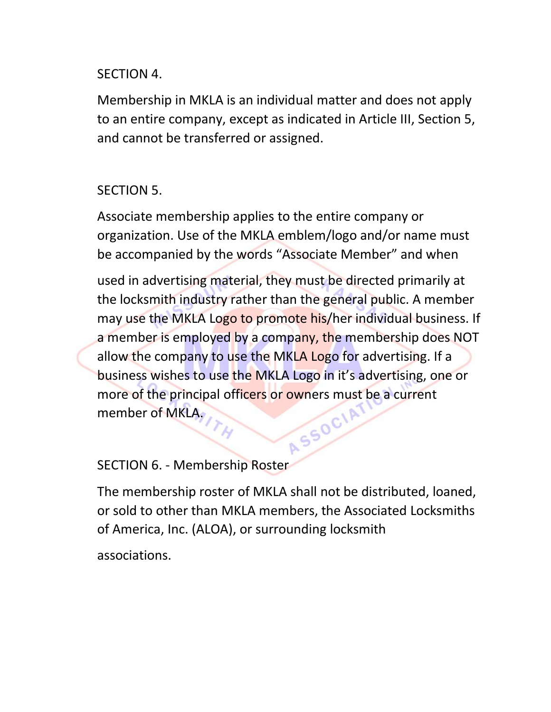# SECTION 4.

Membership in MKLA is an individual matter and does not apply to an entire company, except as indicated in Article III, Section 5, and cannot be transferred or assigned.

# SECTION 5.

Associate membership applies to the entire company or organization. Use of the MKLA emblem/logo and/or name must be accompanied by the words "Associate Member" and when

used in advertising material, they must be directed primarily at the locksmith industry rather than the general public. A member may use the MKLA Logo to promote his/her individual business. If a member is employed by a company, the membership does NOT allow the company to use the MKLA Logo for advertising. If a business wishes to use the MKLA Logo in it's advertising, one or more of the principal officers or owners must be a current<br>member of MKLA, more of MKLA.

### SECTION 6. - Membership Roster

The membership roster of MKLA shall not be distributed, loaned, or sold to other than MKLA members, the Associated Locksmiths of America, Inc. (ALOA), or surrounding locksmith

associations.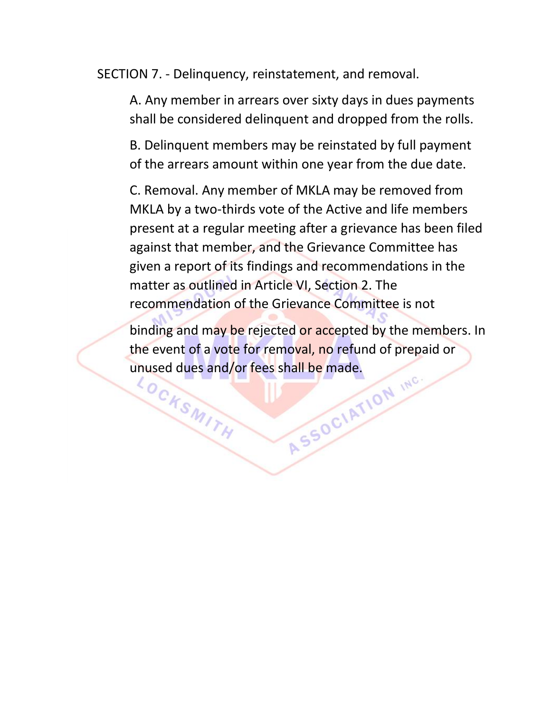SECTION 7. - Delinquency, reinstatement, and removal.

A. Any member in arrears over sixty days in dues payments shall be considered delinquent and dropped from the rolls.

B. Delinquent members may be reinstated by full payment of the arrears amount within one year from the due date.

C. Removal. Any member of MKLA may be removed from MKLA by a two-thirds vote of the Active and life members present at a regular meeting after a grievance has been filed against that member, and the Grievance Committee has given a report of its findings and recommendations in the matter as outlined in Article VI, Section 2. The recommendation of the Grievance Committee is not

binding and may be rejected or accepted by the members. In the event of a vote for removal, no refund of prepaid or unused dues and/or fees shall be made.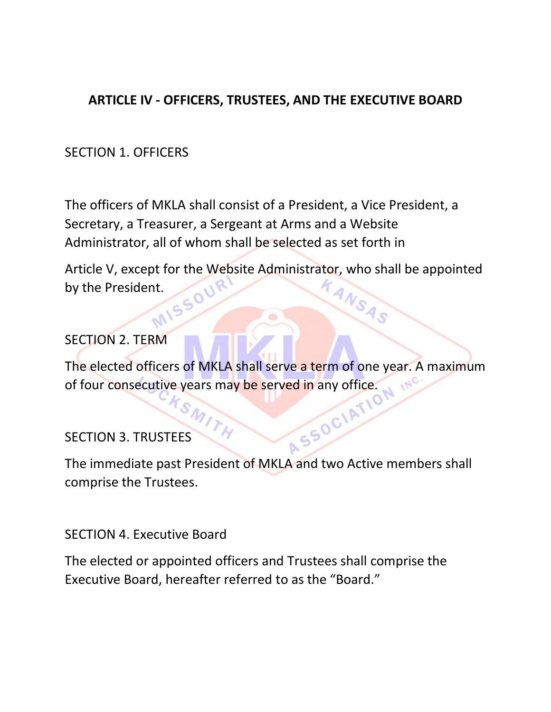# **ARTICLE IV - OFFICERS, TRUSTEES, AND THE EXECUTIVE BOARD**

# SECTION 1. OFFICERS

The officers of MKLA shall consist of a President, a Vice President, a Secretary, a Treasurer, a Sergeant at Arms and a Website Administrator, all of whom shall be selected as set forth in

Article V, except for the Website Administrator, who shall be appointed<br>by the President. by the President.

### SECTION 2. TERM

The elected officers of MKLA shall serve a term of one year. A maximum<br>of four consecutive years may be served in any office.<br>SECTION 3. TRUSTEES of four consecutive years may be served in any office.

# SECTION 3. TRUSTEES

The immediate past President of MKLA and two Active members shall comprise the Trustees.

#### SECTION 4. Executive Board

The elected or appointed officers and Trustees shall comprise the Executive Board, hereafter referred to as the "Board."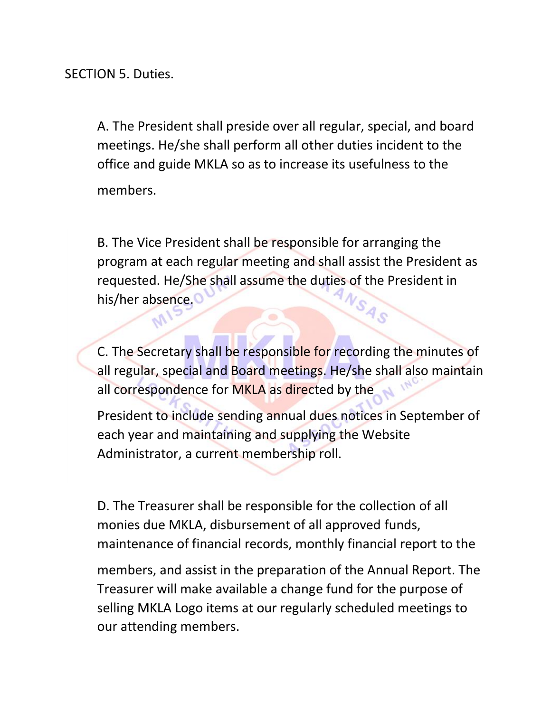SECTION 5. Duties.

A. The President shall preside over all regular, special, and board meetings. He/she shall perform all other duties incident to the office and guide MKLA so as to increase its usefulness to the members.

B. The Vice President shall be responsible for arranging the program at each regular meeting and shall assist the President as requested. He/She shall assume the duties of the President in<br>his ther absence. his/her absence.

C. The Secretary shall be responsible for recording the minutes of all regular, special and Board meetings. He/she shall also maintain all correspondence for MKLA as directed by the

President to include sending annual dues notices in September of each year and maintaining and supplying the Website Administrator, a current membership roll.

D. The Treasurer shall be responsible for the collection of all monies due MKLA, disbursement of all approved funds, maintenance of financial records, monthly financial report to the

members, and assist in the preparation of the Annual Report. The Treasurer will make available a change fund for the purpose of selling MKLA Logo items at our regularly scheduled meetings to our attending members.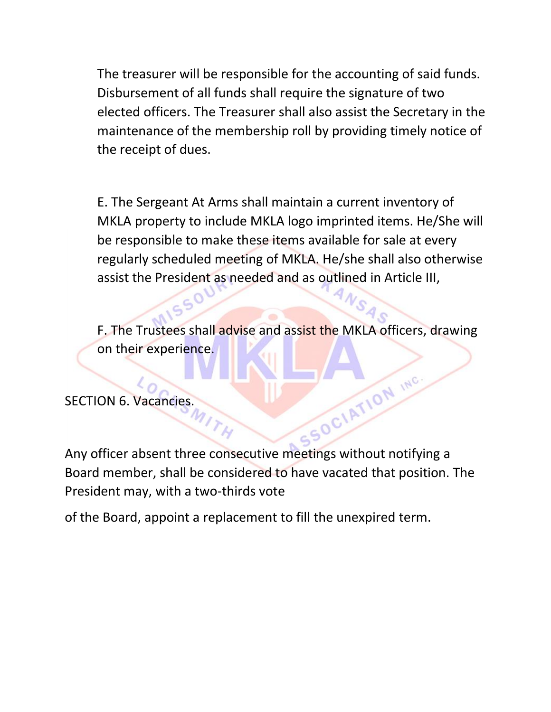The treasurer will be responsible for the accounting of said funds. Disbursement of all funds shall require the signature of two elected officers. The Treasurer shall also assist the Secretary in the maintenance of the membership roll by providing timely notice of the receipt of dues.

E. The Sergeant At Arms shall maintain a current inventory of MKLA property to include MKLA logo imprinted items. He/She will be responsible to make these items available for sale at every regularly scheduled meeting of MKLA. He/she shall also otherwise assist the President as needed and as outlined in Article III,

F. The Trustees shall advise and assist the MKLA officers, drawing on their experience.

SECTION 6. Vacancies.

 $50$ 

 $\frac{N_{N}}{N_{H}}$ <br>Any officer absent three consecutive meetings without notifying a Board member, shall be considered to have vacated that position. The President may, with a two-thirds vote

of the Board, appoint a replacement to fill the unexpired term.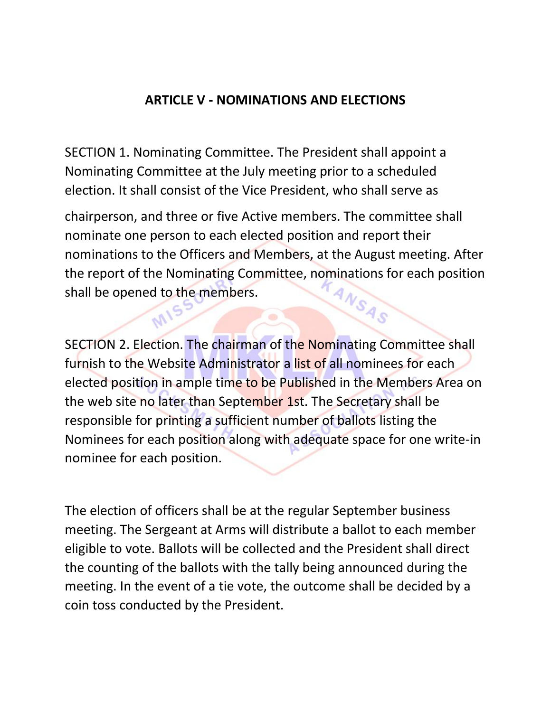# **ARTICLE V - NOMINATIONS AND ELECTIONS**

SECTION 1. Nominating Committee. The President shall appoint a Nominating Committee at the July meeting prior to a scheduled election. It shall consist of the Vice President, who shall serve as

MIS

chairperson, and three or five Active members. The committee shall nominate one person to each elected position and report their nominations to the Officers and Members, at the August meeting. After the report of the Nominating Committee, nominations for each position<br>shall be opened to the members. shall be opened to the members.

 $\bullet$ 

SECTION 2. Election. The chairman of the Nominating Committee shall furnish to the Website Administrator a list of all nominees for each elected position in ample time to be Published in the Members Area on the web site no later than September 1st. The Secretary shall be responsible for printing a sufficient number of ballots listing the Nominees for each position along with adequate space for one write-in nominee for each position.

The election of officers shall be at the regular September business meeting. The Sergeant at Arms will distribute a ballot to each member eligible to vote. Ballots will be collected and the President shall direct the counting of the ballots with the tally being announced during the meeting. In the event of a tie vote, the outcome shall be decided by a coin toss conducted by the President.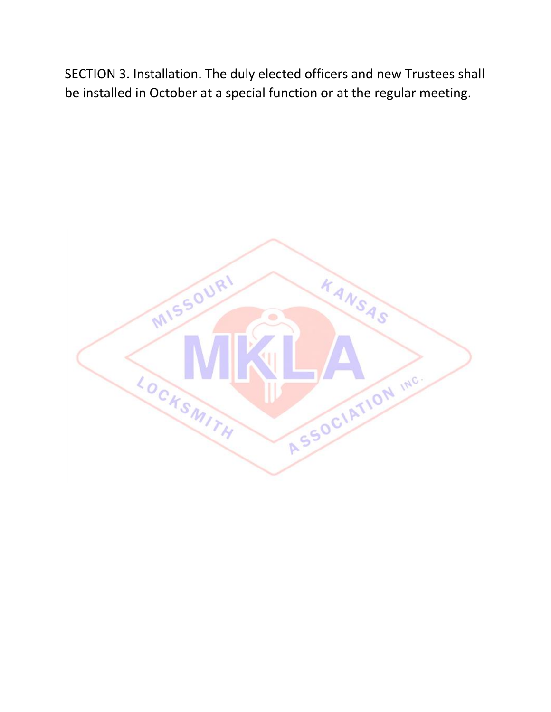SECTION 3. Installation. The duly elected officers and new Trustees shall be installed in October at a special function or at the regular meeting.

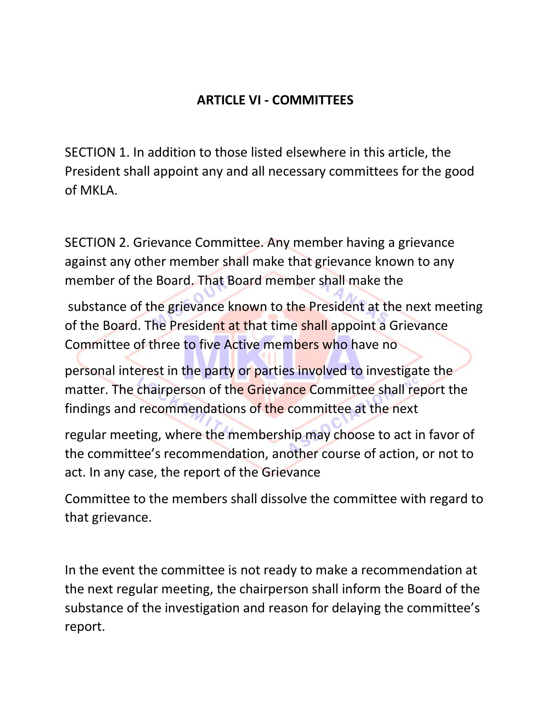# **ARTICLE VI - COMMITTEES**

SECTION 1. In addition to those listed elsewhere in this article, the President shall appoint any and all necessary committees for the good of MKLA.

SECTION 2. Grievance Committee. Any member having a grievance against any other member shall make that grievance known to any member of the Board. That Board member shall make the

substance of the grievance known to the President at the next meeting of the Board. The President at that time shall appoint a Grievance Committee of three to five Active members who have no

personal interest in the party or parties involved to investigate the matter. The chairperson of the Grievance Committee shall report the findings and recommendations of the committee at the next

regular meeting, where the membership may choose to act in favor of the committee's recommendation, another course of action, or not to act. In any case, the report of the Grievance

Committee to the members shall dissolve the committee with regard to that grievance.

In the event the committee is not ready to make a recommendation at the next regular meeting, the chairperson shall inform the Board of the substance of the investigation and reason for delaying the committee's report.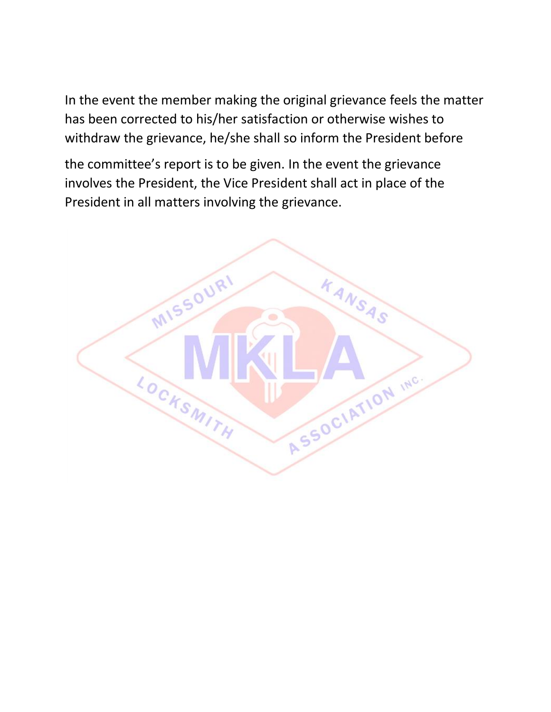In the event the member making the original grievance feels the matter has been corrected to his/her satisfaction or otherwise wishes to withdraw the grievance, he/she shall so inform the President before

the committee's report is to be given. In the event the grievance involves the President, the Vice President shall act in place of the President in all matters involving the grievance.

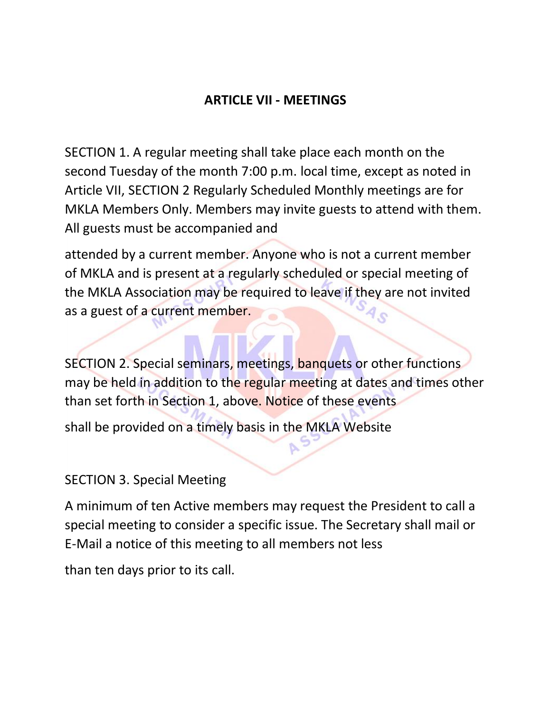# **ARTICLE VII - MEETINGS**

SECTION 1. A regular meeting shall take place each month on the second Tuesday of the month 7:00 p.m. local time, except as noted in Article VII, SECTION 2 Regularly Scheduled Monthly meetings are for MKLA Members Only. Members may invite guests to attend with them. All guests must be accompanied and

attended by a current member. Anyone who is not a current member of MKLA and is present at a regularly scheduled or special meeting of the MKLA Association may be required to leave if they are not invited as a guest of a current member.

SECTION 2. Special seminars, meetings, banquets or other functions may be held in addition to the regular meeting at dates and times other than set forth in Section 1, above. Notice of these events

shall be provided on a timely basis in the MKLA Website

### SECTION 3. Special Meeting

A minimum of ten Active members may request the President to call a special meeting to consider a specific issue. The Secretary shall mail or E-Mail a notice of this meeting to all members not less

than ten days prior to its call.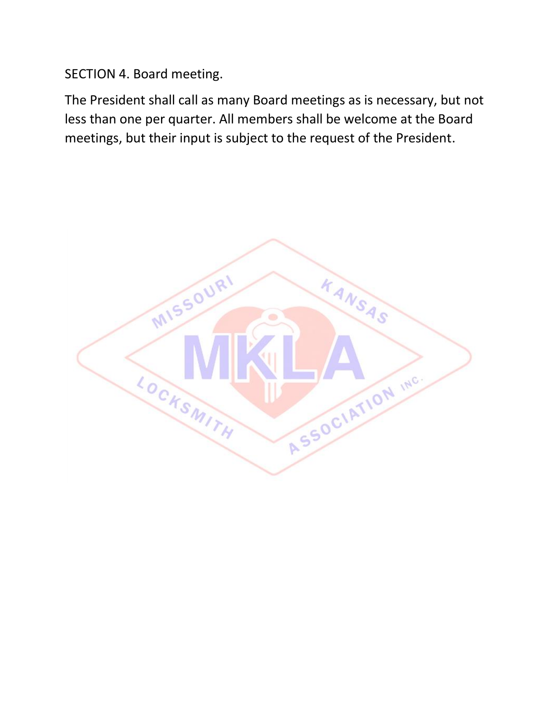SECTION 4. Board meeting.

The President shall call as many Board meetings as is necessary, but not less than one per quarter. All members shall be welcome at the Board meetings, but their input is subject to the request of the President.

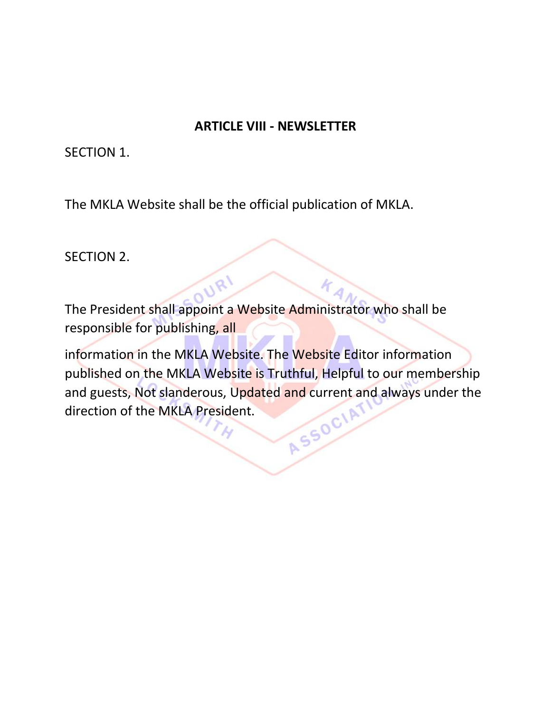### **ARTICLE VIII - NEWSLETTER**

SECTION 1.

The MKLA Website shall be the official publication of MKLA.

SECTION 2.

The President shall appoint a Website Administrator who shall be responsible for publishing, all

information in the MKLA Website. The Website Editor information published on the MKLA Website is Truthful, Helpful to our membership and guests, Not slanderous, Updated and current and always under the direction of the MKLA President. direction of the MKLA President.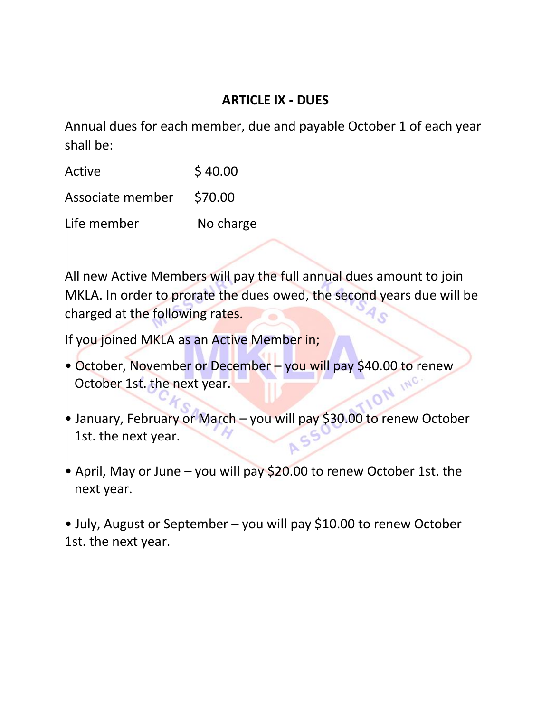# **ARTICLE IX - DUES**

Annual dues for each member, due and payable October 1 of each year shall be:

| Active           | \$40.00   |
|------------------|-----------|
| Associate member | \$70.00   |
| Life member      | No charge |

All new Active Members will pay the full annual dues amount to join MKLA. In order to prorate the dues owed, the second years due will be charged at the following rates.

If you joined MKLA as an Active Member in;

- October, November or December you will pay \$40.00 to renew<br>October 1st. the next year. October 1st. the next year. 10N
- January, February or March you will pay \$30.00 to renew October 1st. the next year.
- April, May or June you will pay \$20.00 to renew October 1st. the next year.

• July, August or September – you will pay \$10.00 to renew October 1st. the next year.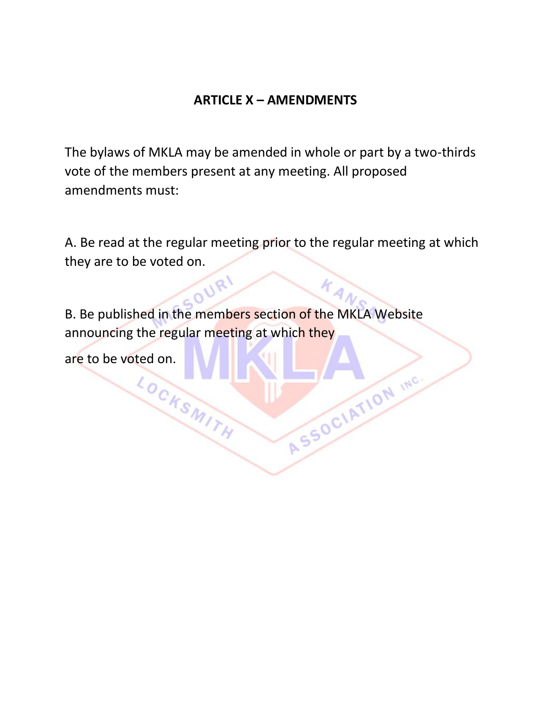## **ARTICLE X – AMENDMENTS**

The bylaws of MKLA may be amended in whole or part by a two-thirds vote of the members present at any meeting. All proposed amendments must:

A. Be read at the regular meeting prior to the regular meeting at which they are to be voted on.

ASSOCIATION INC.

B. Be published in the members section of the MKLA Website announcing the regular meeting at which they

are to be voted on.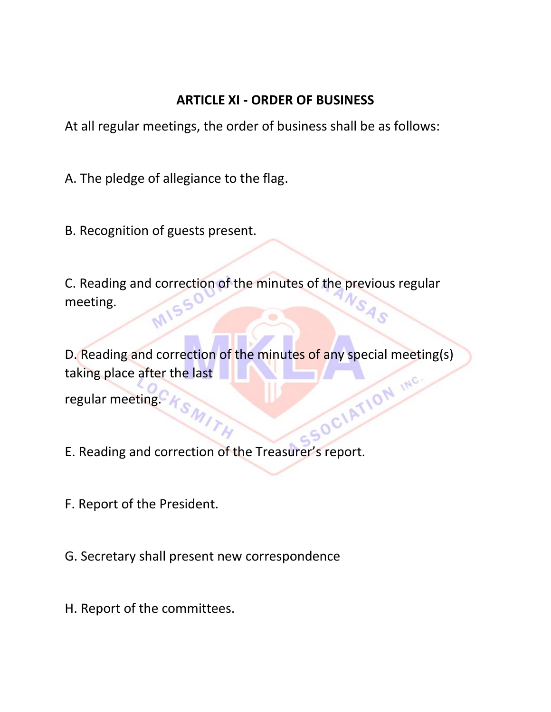# **ARTICLE XI - ORDER OF BUSINESS**

At all regular meetings, the order of business shall be as follows:

A. The pledge of allegiance to the flag.

B. Recognition of guests present.

C. Reading and correction of the minutes of the previous regular meeting. MIS

D. Reading and correction of the minutes of any special meeting(s)<br>taking place after the last<br>regular meeting.  $A_{SM}$ taking place after the last regular meeting.  $K_{S_{M}}$ 

P.

E. Reading and correction of the Treasurer's report.

F. Report of the President.

G. Secretary shall present new correspondence

H. Report of the committees.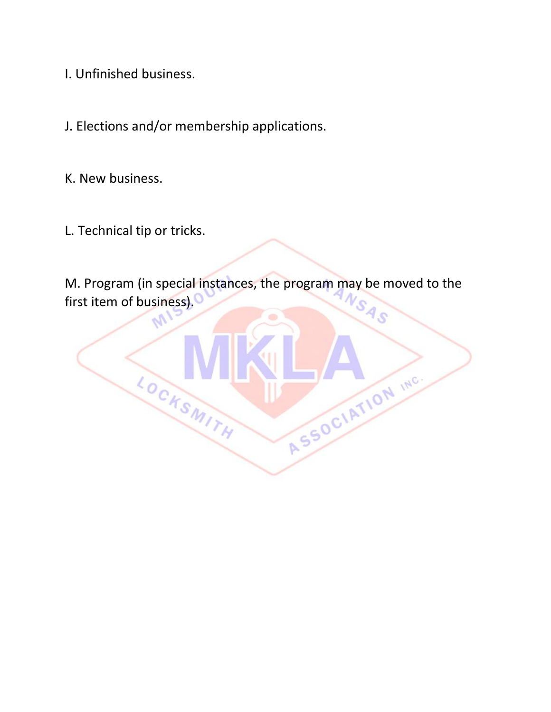I. Unfinished business.

J. Elections and/or membership applications.

LOCKSMITH

K. New business.

L. Technical tip or tricks.

M. Program (in special instances, the program may be moved to the first item of business).

Q,

ASSOCIATION INC.